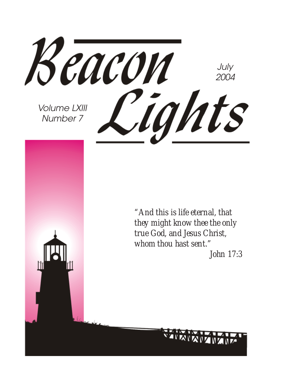Beacon July 2004 Cights Volume LXIII Number 7 *"And this is life eternal, that they might know thee the only true God, and Jesus Christ, whom thou hast sent." John 17:3*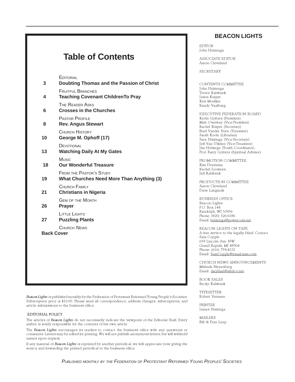#### **Table of Contents EDITORIAL 3 Doubting Thomas and the Passion of Christ** FRUITFUL BRANCHES **4 Teaching Covenant ChildrenTo Pray** THE READER ASKS **6 Crosses in the Churches** PASTOR PROFILE **8 Rev. Angus Stewart** CHURCH HISTORY **10 George M. Ophoff (17) DEVOTIONAL 13 Watching Daily At My Gates** Music  **18 Our Wonderful Treasure** FROM THE PASTOR'S STUDY **19 What Churches Need More Than Anything (3)** CHURCH FAMILY **21 Christians in Nigeria** GEM OF THE MONTH **26 Prayer** LITTLE LIGHTS **27 Puzzling Plants** CHURCH NEWS **Back Cover**

Beacon Lights is published monthly by the Federation of Protestant Reformed Young People's Societies. Subscription price is \$10.00. Please send all correspondence, address changes, subscriptions, and article submissions to the business office.

#### EDITORIAL POLICY

The articles of Beacon Lights do not necessarily indicate the viewpoint of the Editorial Staff. Every author is solely responsible for the contents of his own article.

The Beacon Lights encourages its readers to contact the business office with any questions or comments. Letters may be edited for printing. We will not publish anonymous letters, but will withhold names upon request.

If any material of Beacon Lights is reprinted by another periodical, we will appreciate your giving the source and forwarding the printed periodical to the business office.

#### **BEACON LIGHTS**

EDITOR John Huizenga

ASSOCIATE EDITOR Aaron Cleveland

SECRETARY

CONTENTS COMMITTEE John Huizenga Trevor Kalsbeek Jason Kuiper Kris Moelker Randy Vaalburg

EXECUTIVE FEDERATION BOARD Kevin Gritters (President) Matt Overway (Vice-President) Rachel Kuiper (Secretary) Brad Vander Veen (Treasurer) Sarah Koole (Librarian) Sara Huizinga (Vice-Secretary) Jeff Van Uffelen (Vice-Treasurer) Jim Holstege (Youth Coordinator) Prof. Barry Gritters (Spiritual Advisor)

PROMOTION COMMITTEE Kim Doezema Rachel Joostens Jeff Kalsbeek

PRODUCTION COMMITTEE Aaron Cleveland Dave Langerak

BUSINESS OFFICE Beacon Lights P.O. Box 144 Randolph, WI 53956 Phone: (920) 326-6186 Email: huizenga@powercom.net

BEACON LIGHTS ON TAPE A free service to the legally blind. Contact Sam Copple 659 Lincoln Ave. NW Grand Rapids, MI 49504 Phone: (616) 774-4132 Email: SamCopple@email.msn.com

CHURCH NEWS ANNOUNCEMENTS Melinda Bleyenberg Email: darylmel@altelco.net.

BOOK SALES Becky Kalsbeek

TYPESETTER Robert Vermeer

PRINTER James Huizinga

MAILERS Bill & Fran Leep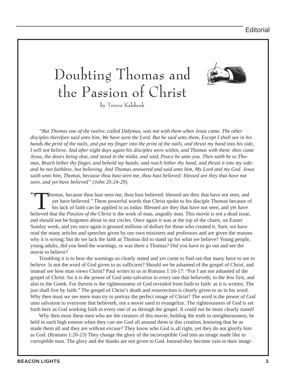# Doubting Thomas and the Passion of Christ



by Trevor Kalsbeek

*"But Thomas one of the twelve, called Didymus, was not with them when Jesus came. The other disciples therefore said unto him, We have seen the Lord. But he said unto them, Except I shall see in his hands the print of the nails, and put my finger into the print of the nails, and thrust my hand into his side, I will not believe. And after eight days again his disciples were within, and Thomas with them: then came Jesus, the doors being shut, and stood in the midst, and said, Peace be unto you. Then saith he to Thomas, Reach hither thy finger, and behold my hands; and reach hither thy hand, and thrust it into my side: and be not faithless, but believing. And Thomas answered and said unto him, My Lord and my God. Jesus saith unto him, Thomas, because thou hast seen me, thou hast believed: blessed are they that have not seen, and yet have believed" (John 20:24-29).*

" Thomas, because thou hast seen me, thou hast believed: blessed are they that have not seen, and yet have believed." These powerful words that Christ spoke to his disciple Thomas because of his lack of faith can be applied to us today. Blessed are they that have not seen, and yet have believed that the *Passion of the Christ* is the work of man, ungodly man. This movie is not a dead issue, and should not be forgotten about in our circles. Once again it was at the top of the charts, on Easter Sunday week, and yes once again it grossed millions of dollars for those who created it. Sure, we have read the many articles and speeches given by our own ministers and professors and are given the reasons why it is wrong; but do we lack the faith as Thomas did to stand up for what we believe? Young people, young adults, did you heed the warnings, or was there a Thomas? Did you have to go out and see the movie to believe?

Troubling it is to hear the warnings so clearly stated and yet come to find out that many have to see to believe. Is not the word of God given to us sufficient? Should we be ashamed of the gospel of Christ, and instead see how man views Christ? Paul writes to us in Romans 1:16-17: "For I am not ashamed of the gospel of Christ: for it is the power of God unto salvation to every one that believeth; to the Jew first, and also to the Greek. For therein is the righteousness of God revealed from faith to faith: as it is written, The just shall live by faith." The gospel of Christ's death and resurrection is clearly given to us in his word. Why then must we see mere man try to portray the perfect image of Christ? The *word* is the power of God unto salvation to everyone that believeth, not a *movie* used to evangelize. The righteousness of God is set forth here as God working faith in every one of us through the gospel. It could not be more clearly stated!

Why then must these men who are the creators of this movie, holding the truth in unrighteousness, be held in such high esteem when they can see God all around them in this creation, knowing that he as made them all and they are without excuse? They know who God is all right, yet they do not glorify him as God. (Romans 1:20-23) They change the glory of the incorruptible God into an image made like to corruptible man. The glory and the thanks are not given to God. Instead they become vain in their imagi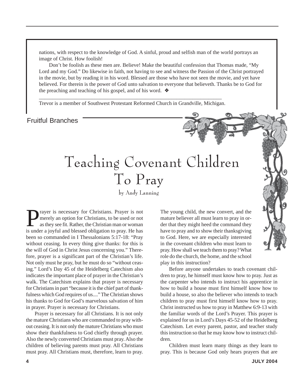nations, with respect to the knowledge of God. A sinful, proud and selfish man of the world portrays an image of Christ. How foolish!

 Don't be foolish as these men are. Believe! Make the beautiful confession that Thomas made, "My Lord and my God." Do likewise in faith, not having to see and witness the Passion of the Christ portrayed in the movie, but by reading it in his word. Blessed are those who have not seen the movie, and yet have believed. For therein is the power of God unto salvation to everyone that believeth. Thanks be to God for the preaching and teaching of his gospel, and of his word. ❖

\_\_\_\_\_*\_\_\_\_\_\_\_\_\_\_\_\_\_\_\_\_\_\_\_\_\_\_\_\_\_\_\_\_\_\_\_\_\_\_\_\_\_\_\_\_\_\_\_\_\_\_\_\_\_\_\_\_\_\_\_\_\_\_\_\_\_\_\_\_* Trevor is a member of Southwest Protestant Reformed Church in Grandville, Michigan.

#### Fruitful Branches

# Teaching Covenant Children To Pray

by Andy Lanning

**Prayer is necessary for Christians. Prayer is not** merely an option for Christians, to be used or not as they see fit. Rather, the Christian man or woman merely an option for Christians, to be used or not as they see fit. Rather, the Christian man or woman is under a joyful and blessed obligation to pray. He has been so commanded in I Thessalonians 5:17-18: "Pray without ceasing. In every thing give thanks: for this is the will of God in Christ Jesus concerning you." Therefore, prayer is a significant part of the Christian's life. Not only must he pray, but he must do so "without ceasing." Lord's Day 45 of the Heidelberg Catechism also indicates the important place of prayer in the Christian's walk. The Catechism explains that prayer is necessary for Christians in part "because it is the chief part of thankfulness which God requires of us...." The Christian shows his thanks to God for God's marvelous salvation of him in prayer. Prayer is necessary for Christians.

Prayer is necessary for all Christians. It is not only the mature Christians who are commanded to pray without ceasing. It is not only the mature Christians who must show their thankfulness to God chiefly through prayer. Also the newly converted Christians must pray. Also the children of believing parents must pray. All Christians must pray. All Christians must, therefore, learn to pray.

The young child, the new convert, and the mature believer all must learn to pray in order that they might heed the command they have to pray and to show their thanksgiving to God. Here, we are especially interested in the covenant children who must learn to pray. How shall we teach them to pray? What role do the church, the home, and the school play in this instruction?

Before anyone undertakes to teach covenant children to pray, he himself must know how to pray. Just as the carpenter who intends to instruct his apprentice in how to build a house must first himself know how to build a house, so also the believer who intends to teach children to pray must first himself know how to pray. Christ instructed us how to pray in Matthew 6:9-13 with the familiar words of the Lord's Prayer. This prayer is explained for us in Lord's Days 45-52 of the Heidelberg Catechism. Let every parent, pastor, and teacher study this instruction so that he may know how to instruct children.

Children must learn many things as they learn to pray. This is because God only hears prayers that are

Story Time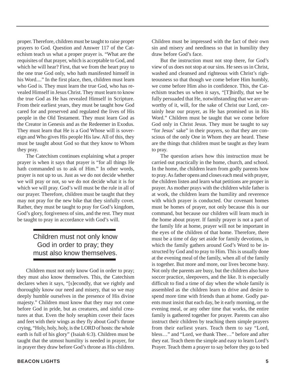proper. Therefore, children must be taught to raise proper prayers to God. Question and Answer 117 of the Catechism teach us what a proper prayer is. "What are the requisites of that prayer, which is acceptable to God, and which he will hear? First, that we from the heart pray to the one true God only, who hath manifested himself in his Word...." In the first place, then, children must learn who God is. They must learn the true God, who has revealed Himself in Jesus Christ. They must learn to know the true God as He has revealed Himself in Scripture. From their earliest years, they must be taught how God cared for and preserved and regulated the lives of His people in the Old Testament. They must learn God as the Creator in Genesis and as the Redeemer in Exodus. They must learn that He is a God Whose will is sovereign and Who gives His people His law. All of this, they must be taught about God so that they know to Whom they pray.

The Catechism continues explaining what a proper prayer is when it says that prayer is "for all things He hath commanded us to ask of Him." In other words, prayer is not up to us. Just as we do not decide whether we will pray or not, so we do not decide what it is for which we will pray. God's will must be the rule in all of our prayer. Therefore, children must be taught that they may not pray for the new bike that they sinfully covet. Rather, they must be taught to pray for God's kingdom, God's glory, forgiveness of sins, and the rest. They must be taught to pray in accordance with God's will.

#### Children must not only know God in order to pray; they must also know themselves.

Children must not only know God in order to pray; they must also know themselves. This, the Catechism declares when it says, "[s]econdly, that we rightly and thoroughly know our need and misery, that so we may deeply humble ourselves in the presence of His divine majesty." Children must know that they may not come before God in pride, but as creatures, and sinful creatures at that. Even the holy seraphim cover their faces and feet with their wings as they fly about God's throne crying, "Holy, holy, holy, is the LORD of hosts: the whole earth is full of his glory" (Isaiah 6:3). Children must be taught that the utmost humility is needed in prayer, for in prayer they draw before God's throne as His children.

Children must be impressed with the fact of their own sin and misery and neediness so that in humility they draw before God's face.

But the instruction must not stop there, for God's view of us does not stop at our sins. He sees us in Christ, washed and cleansed and righteous with Christ's righteousness so that though we come before Him humbly, we come before Him also in confidence. This, the Catechism teaches us when it says, "[T]hirdly, that we be fully persuaded that He, notwithstanding that we are unworthy of it, will, for the sake of Christ our Lord, certainly hear our prayer, as He has promised us in His Word." Children must be taught that we come before God only in Christ Jesus. They must be taught to say "for Jesus' sake" in their prayers, so that they are conscious of the only One in Whom they are heard. These are the things that children must be taught as they learn to pray.

The question arises how this instruction must be carried out practically in the home, church, and school. In the home, the children learn from godly parents how to pray. As father opens and closes each meal with prayer, the children listen and learn what petitions are proper in prayer. As mother prays with the children while father is at work, the children learn the humility and reverence with which prayer is conducted. Our covenant homes must be homes of prayer, not only because this is our command, but because our children will learn much in the home about prayer. If family prayer is not a part of the family life at home, prayer will not be important in the eyes of the children of that home. Therefore, there must be a time of day set aside for family devotions, in which the family gathers around God's Word to be instructed by God and to pray to Him. This is usually done at the evening meal of the family, when all of the family is together. But more and more, our lives become busy. Not only the parents are busy, but the children also have soccer practice, sleepovers, and the like. It is especially difficult to find a time of day when the whole family is assembled as the children learn to drive and desire to spend more time with friends than at home. Godly parents must insist that each day, be it early morning, or the evening meal, or any other time that works, the entire family is gathered together for prayer. Parents can also instruct their children by teaching them simple prayers from their earliest years. Teach them to say "Lord, bless…" and "Lord, we thank Thee…" before and after they eat. Teach them the simple and easy to learn Lord's Prayer. Teach them a prayer to say before they go to bed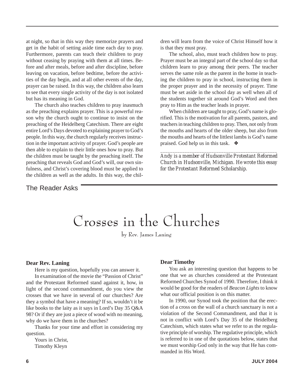at night, so that in this way they memorize prayers and get in the habit of setting aside time each day to pray. Furthermore, parents can teach their children to pray without ceasing by praying with them at all times. Before and after meals, before and after discipline, before leaving on vacation, before bedtime, before the activities of the day begin, and at all other events of the day, prayer can be raised. In this way, the children also learn to see that every single activity of the day is not isolated but has its meaning in God.

The church also teaches children to pray inasmuch as the preaching explains prayer. This is a powerful reason why the church ought to continue to insist on the preaching of the Heidelberg Catechism. There are eight entire Lord's Days devoted to explaining prayer to God's people. In this way, the church regularly receives instruction in the important activity of prayer. God's people are then able to explain to their little ones how to pray. But the children must be taught by the preaching itself. The preaching that reveals God and God's will, our own sinfulness, and Christ's covering blood must be applied to the children as well as the adults. In this way, the children will learn from the voice of Christ Himself how it is that they must pray.

The school, also, must teach children how to pray. Prayer must be an integral part of the school day so that children learn to pray among their peers. The teacher serves the same role as the parent in the home in teaching the children to pray in school, instructing them in the proper prayer and in the necessity of prayer. Time must be set aside in the school day as well when all of the students together sit around God's Word and then pray to Him as the teacher leads in prayer.

When children are taught to pray, God's name is glorified. This is the motivation for all parents, pastors, and teachers in teaching children to pray. Then, not only from the mouths and hearts of the older sheep, but also from the mouths and hearts of the littlest lambs is God's name praised. God help us in this task.  $\diamondsuit$ 

*Andy is a member of Hudsonville Protestant Reformed Church in Hudsonville, Michigan. He wrote this essay for the Protestant Reformed Scholarship.*

*\_\_\_\_\_\_\_\_\_\_\_\_\_\_\_\_\_\_\_\_\_\_\_\_\_\_\_\_\_\_\_\_\_\_\_\_\_\_\_\_\_\_\_\_\_\_\_\_*

#### The Reader Asks

### Crosses in the Churches

by Rev. James Laning

#### **Dear Rev. Laning**

Here is my question, hopefully you can answer it.

In examination of the movie the "Passion of Christ" and the Protestant Reformed stand against it, how, in light of the second commandment, do you view the crosses that we have in several of our churches? Are they a symbol that have a meaning? If so, wouldn't it be like books to the laity as it says in Lord's Day 35 Q&A 98? Or if they are just a piece of wood with no meaning, why do we have them in the churches?

Thanks for your time and effort in considering my question.

Yours in Christ, Timothy Kleyn

#### **Dear Timothy**

You ask an interesting question that happens to be one that we as churches considered at the Protestant Reformed Churches Synod of 1990. Therefore, I think it would be good for the readers of *Beacon Lights* to know what our official position is on this matter.

In 1990, our Synod took the position that the erection of a cross on the wall of a church sanctuary is not a violation of the Second Commandment, and that it is not in conflict with Lord's Day 35 of the Heidelberg Catechism, which states what we refer to as the regulative principle of worship. The regulative principle, which is referred to in one of the quotations below, states that we must worship God only in the way that He has commanded in His Word.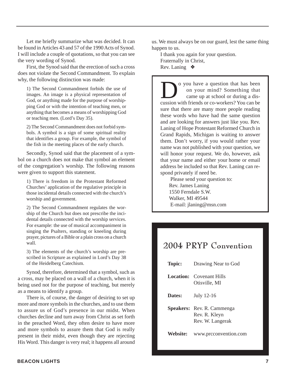Let me briefly summarize what was decided. It can be found in Articles 43 and 57 of the 1990 Acts of Synod. I will include a couple of quotations, so that you can see the very wording of Synod.

First, the Synod said that the erection of such a cross does not violate the Second Commandment. To explain why, the following distinction was made:

1) The Second Commandment forbids the use of images. An image is a physical representation of God, or anything made for the purpose of worshipping God or with the intention of teaching men, or anything that becomes a means of worshipping God or teaching men. (Lord's Day 35).

2) The Second Commandment does not forbid symbols. A symbol is a sign of some spiritual reality that identifies a group. For example, the symbol of the fish in the meeting places of the early church.

Secondly, Synod said that the placement of a symbol on a church does not make that symbol an element of the congregation's worship. The following reasons were given to support this statement.

1) There is freedom in the Protestant Reformed Churches' application of the regulative principle in those incidental details connected with the church's worship and government.

2) The Second Commandment regulates the worship of the Church but does not prescribe the incidental details connected with the worship services. For example: the use of musical accompaniment in singing the Psalters, standing or kneeling during prayer, pictures of a Bible or a plain cross on a church wall.

3) The elements of the church's worship are prescribed in Scripture as explained in Lord's Day 38 of the Heidelberg Catechism.

Synod, therefore, determined that a symbol, such as a cross, may be placed on a wall of a church, when it is being used not for the purpose of teaching, but merely as a means to identify a group.

There is, of course, the danger of desiring to set up more and more symbols in the churches, and to use them to assure us of God's presence in our midst. When churches decline and turn away from Christ as set forth in the preached Word, they often desire to have more and more symbols to assure them that God is really present in their midst, even though they are rejecting His Word. This danger is very real; it happens all around

us. We must always be on our guard, lest the same thing happen to us.

I thank you again for your question. Fraternally in Christ, Rev. Laning ❖

O you have a question that has been<br>on your mind? Something that<br>cussion with friends or co-workers? You can be on your mind? Something that came up at school or during a discussion with friends or co-workers? You can be sure that there are many more people reading these words who have had the same question and are looking for answers just like you. Rev. Laning of Hope Protestant Reformed Church in Grand Rapids, Michigan is waiting to answer them. Don't worry, if you would rather your name was not published with your question, we will honor your request. We do, however, ask that your name and either your home or email address be included so that Rev. Laning can respond privately if need be.

 Please send your question to: Rev. James Laning 1550 Ferndale S.W. Walker, MI 49544 E-mail: jlaning@msn.com

#### 2004 PRYP Convention

| <b>Topic:</b> | Drawing Near to God                                                    |
|---------------|------------------------------------------------------------------------|
|               | <b>Location:</b> Covenant Hills<br>Otisville, MI                       |
| Dates:        | July 12-16                                                             |
|               | <b>Speakers:</b> Rev. R. Cammenga<br>Rev. R. Kleyn<br>Rev. W. Langerak |
| Website:      | www.prcconvention.com                                                  |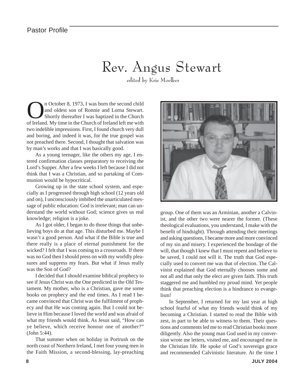### Rev. Angus Stewart

edited by Kris Moelker

**On** October 8, 1973, I was born the second child<br>and oldest son of Ronnie and Lorna Stewart.<br>Shortly thereafter I was baptized in the Church<br>of Ireland My time in the Church of Ireland left me with and oldest son of Ronnie and Lorna Stewart. Shortly thereafter I was baptized in the Church of Ireland. My time in the Church of Ireland left me with two indelible impressions. First, I found church very dull and boring, and indeed it was, for the true gospel was not preached there. Second, I thought that salvation was by man's works and that I was basically good.

As a young teenager, like the others my age, I entered confirmation classes preparatory to receiving the Lord's Supper. After a few weeks I left because I did not think that I was a Christian, and so partaking of Communion would be hypocritical.

Growing up in the state school system, and especially as I progressed through high school (12 years old and on), I unconsciously imbibed the unarticulated message of public education: God is irrelevant; man can understand the world without God; science gives us real knowledge; religion is a joke.

As I got older, I began to do those things that unbelieving boys do at that age. This disturbed me. Maybe I wasn't a good person. And what if the Bible is true and there really is a place of eternal punishment for the wicked? I felt that I was coming to a crossroads. If there was no God then I should press on with my worldly pleasures and suppress my fears. But what if Jesus really was the Son of God?

I decided that I should examine biblical prophecy to see if Jesus Christ was the One predicted in the Old Testament. My mother, who is a Christian, gave me some books on prophecy and the end times. As I read I became convinced that Christ was the fulfilment of prophecy and that He was coming again. But I could not believe in Him because I loved the world and was afraid of what my friends would think. As Jesus said, "How can ye believe, which receive honour one of another?" (John 5:44).

That summer when on holiday in Portrush on the north coast of Northern Ireland, I met four young men in the Faith Mission, a second-blessing, lay-preaching



group. One of them was an Arminian, another a Calvinist, and the other two were nearer the former. (These theological evaluations, you understand, I make with the benefit of hindsight). Through attending their meetings and asking questions, I became more and more convinced of my sin and misery. I experienced the bondage of the will, that though I knew that I must repent and believe to be saved, I could not will it. The truth that God especially used to convert me was that of election. The Calvinist explained that God eternally chooses some and not all and that only the elect are given faith. This truth staggered me and humbled my proud mind. Yet people think that preaching election is a hindrance to evangelism!

In September, I returned for my last year at high school fearful of what my friends would think of my becoming a Christian. I started to read the Bible with zest, in part to be able to witness to them. Their questions and comments led me to read Christian books more diligently. Also the young man God used in my conversion wrote me letters, visited me, and encouraged me in the Christian life. He spoke of God's sovereign grace and recommended Calvinistic literature. At the time I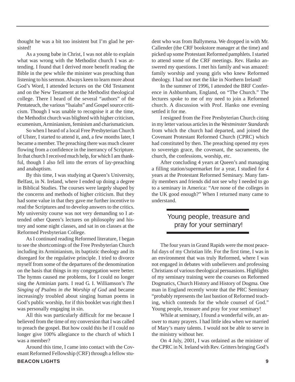thought he was a bit too insistent but I'm glad he persisted!

As a young babe in Christ, I was not able to explain what was wrong with the Methodist church I was attending. I found that I derived more benefit reading the Bible in the pew while the minister was preaching than listening to his sermon. Always keen to learn more about God's Word, I attended lectures on the Old Testament and on the New Testament at the Methodist theological college. There I heard of the several "authors" of the Pentateuch, the various "Isaiahs" and Gospel source criticism. Though I was unable to recognise it at the time, the Methodist church was blighted with higher criticism, ecumenism, Arminianism, feminism and charismaticism.

So when I heard of a local Free Presbyterian Church of Ulster, I started to attend it, and, a few months later, I became a member. The preaching there was much clearer flowing from a confidence in the inerrancy of Scripture. In that church I received much help, for which I am thankful, though I also fell into the errors of lay-preaching and anabaptism.

By this time, I was studying at Queen's University, Belfast, in N. Ireland, where I ended up doing a degree in Biblical Studies. The courses were largely shaped by the concerns and methods of higher criticism. But they had some value in that they gave me further incentive to read the Scriptures and to develop answers to the critics. My university course was not very demanding so I attended other Queen's lectures on philosophy and history and some night classes, and sat in on classes at the Reformed Presbyterian College.

As I continued reading Reformed literature, I began to see the shortcomings of the Free Presbyterian Church including its Arminianism, its baptistic theology and its disregard for the regulative principle. I tried to divorce myself from some of the departures of the denomination on the basis that things in my congregation were better. The hymns caused me problems, for I could no longer sing the Arminian parts. I read G. I. Williamson's *The Singing of Psalms in the Worship of God* and became increasingly troubled about singing human poems in God's public worship, for if this booklet was right then I was personally engaging in sin.

All this was particularly difficult for me because I believed from the time of my conversion that I was called to preach the gospel. But how could this be if I could no longer give 100% allegiance to the church of which I was a member?

Around this time, I came into contact with the Covenant Reformed Fellowship (CRF) through a fellow student who was from Ballymena. We dropped in with Mr. Callender (the CRF bookstore manager at the time) and picked up some Protestant Reformed pamphlets. I started to attend some of the CRF meetings. Rev. Hanko answered my questions. I met his family and was amazed: family worship and young girls who knew Reformed theology. I had not met the like in Northern Ireland!

In the summer of 1996, I attended the BRF Conference in Ashburnham, England, on "The Church." The lectures spoke to me of my need to join a Reformed church. A discussion with Prof. Hanko one evening settled it for me.

I resigned from the Free Presbyterian Church citing in my letter various articles in the *Westminster Standards* from which the church had departed, and joined the Covenant Protestant Reformed Church (CPRC) which had constituted by then. The preaching opened my eyes to sovereign grace, the covenant, the sacraments, the church, the confessions, worship, etc.

After concluding 4 years at Queen's and managing a filling station/supermarket for a year, I studied for 4 years at the Protestant Reformed Seminary. Many family members and friends did not see why I needed to go to a seminary in America: "Are none of the colleges in the UK good enough?" When I returned many came to understand.

#### Young people, treasure and pray for your seminary!

The four years in Grand Rapids were the most peaceful days of my Christian life. For the first time, I was in an environment that was truly Reformed, where I was not engaged in debates with unbelievers and professing Christians of various theological persuasions. Highlights of my seminary training were the courses on Reformed Dogmatics, Church History and History of Dogma. One man in England recently wrote that the PRC Seminary "probably represents the last bastion of Reformed teaching, which contends for the whole counsel of God." Young people, treasure and pray for your seminary!

While at seminary, I found a wonderful wife, an answer to many prayers. I had little idea when we married of Mary's many talents. I would not be able to serve in the ministry without her.

On 4 July, 2001, I was ordained as the minister of the CPRC in N. Ireland with Rev. Gritters bringing God's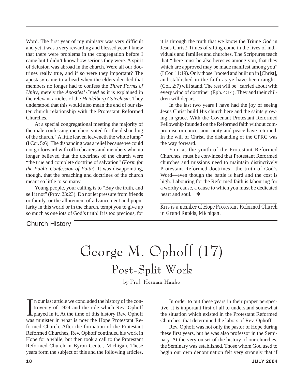Word. The first year of my ministry was very difficult and yet it was a very rewarding and blessed year. I knew that there were problems in the congregation before I came but I didn't know how serious they were. A spirit of delusion was abroad in the church. Were all our doctrines really true, and if so were they important? The apostasy came to a head when the elders decided that members no longer had to confess the *Three Forms of Unity*, merely the *Apostles' Creed* as it is explained in the relevant articles of the *Heidelberg Catechism*. They understood that this would also mean the end of our sister church relationship with the Protestant Reformed Churches.

At a special congregational meeting the majority of the male confessing members voted for the disbanding of the church. "A little leaven leaveneth the whole lump" (I Cor. 5:6). The disbanding was a relief because we could not go forward with officebearers and members who no longer believed that the doctrines of the church were "the true and complete doctrine of salvation" (*Form for the Public Confession of Faith*). It was disappointing, though, that the preaching and doctrines of the church meant so little to so many.

Young people, your calling is to "Buy the truth, and sell it not" (Prov. 23:23). Do not let pressure from friends or family, or the allurement of advancement and popularity in this world or in the church, tempt you to give up so much as one iota of God's truth! It is too precious, for it is through the truth that we know the Triune God in Jesus Christ! Times of sifting come in the lives of individuals and families and churches. The Scriptures teach that "there must be also heresies among you, that they which are approved may be made manifest among you" (I Cor. 11:19). Only those "rooted and built up in [Christ], and stablished in the faith as ye have been taught" (Col. 2:7) will stand. The rest will be "carried about with every wind of doctrine" (Eph. 4:14). They and their children will depart.

In the last two years I have had the joy of seeing Jesus Christ build His church here and the saints growing in grace. With the Covenant Protestant Reformed Fellowship founded on the Reformed faith without compromise or concession, unity and peace have returned. In the will of Christ, the disbanding of the CPRC was the way forward.

You, as the youth of the Protestant Reformed Churches, must be convinced that Protestant Reformed churches and missions need to maintain distinctively Protestant Reformed doctrines—the truth of God's Word—even though the battle is hard and the cost is high. Labouring for the Reformed faith is labouring for a worthy cause, a cause to which you must be dedicated heart and soul. ❖

*\_\_\_\_\_\_\_\_\_\_\_\_\_\_\_\_\_\_\_\_\_\_\_\_\_\_\_\_\_\_\_\_\_\_\_\_\_\_\_\_\_\_\_\_\_\_\_\_\_\_\_\_ Kris is a member of Hope Protestant Reformed Church in Grand Rapids, Michigan.*

#### Church History

George M. Ophoff (17) Post-Split Work

by Prof. Herman Hanko

I n our last article we concluded the history of the controversy of 1924 and the role which Rev. Ophoff played in it. At the time of this history Rev. Ophoff was minister in what is now the Hope Protestant Reformed Church. After the formation of the Protestant Reformed Churches, Rev. Ophoff continued his work in Hope for a while, but then took a call to the Protestant Reformed Church in Byron Center, Michigan. These years form the subject of this and the following articles.

In order to put these years in their proper perspective, it is important first of all to understand somewhat the situation which existed in the Protestant Reformed Churches, that determined the labors of Rev. Ophoff.

Rev. Ophoff was not only the pastor of Hope during these first years, but he was also professor in the Seminary. At the very outset of the history of our churches, the Seminary was established. Those whom God used to begin our own denomination felt very strongly that if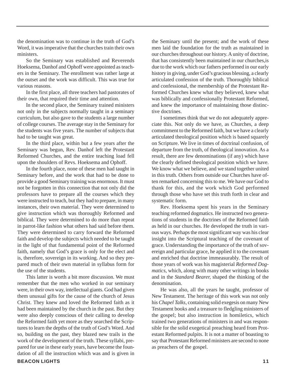the denomination was to continue in the truth of God's Word, it was imperative that the churches train their own ministers.

So the Seminary was established and Reverends Hoeksema, Danhof and Ophoff were appointed as teachers in the Seminary. The enrollment was rather large at the outset and the work was difficult. This was true for various reasons.

In the first place, all three teachers had pastorates of their own, that required their time and attention.

In the second place, the Seminary trained ministers not only in the subjects normally taught in a seminary curriculum, but also gave to the students a large number of college courses. The average stay in the Seminary for the students was five years. The number of subjects that had to be taught was great.

In the third place, within but a few years after the Seminary was begun, Rev. Danhof left the Protestant Reformed Churches, and the entire teaching load fell upon the shoulders of Revs. Hoeksema and Ophoff.

In the fourth place, none of these men had taught in Seminary before, and the work that had to be done to provide a good Seminary training was enormous. It must not be forgotten in this connection that not only did the professors have to prepare all the courses which they were instructed to teach, but they had to prepare, in many instances, their own material. They were determined to give instruction which was thoroughly Reformed and biblical. They were determined to do more than repeat in parrot-like fashion what others had said before them. They were determined to carry forward the Reformed faith and develop the subjects which needed to be taught in the light of that fundamental point of the Reformed faith, namely that God's grace is only for the elect and is, therefore, sovereign in its working. And so they prepared much of their own material in syllabus form for the use of the students.

This latter is worth a bit more discussion. We must remember that the men who worked in our seminary were, in their own way, intellectual giants. God had given them unusual gifts for the cause of the church of Jesus Christ. They knew and loved the Reformed faith as it had been maintained by the church in the past. But they were also deeply conscious of their calling to develop the Reformed faith yet more as they searched the Scriptures to learn the depths of the truth of God's Word. And so, building on the past, they blazed new trails in the work of the development of the truth. These syllabi, prepared for use in these early years, have become the foundation of all the instruction which was and is given in the Seminary until the present; and the work of these men laid the foundation for the truth as maintained in our churches throughout our history. A unity of doctrine, that has consistently been maintained in our churches,is due to the work which our fathers performed in our early history in giving, under God's gracious blessing, a clearly articulated confession of the truth. Thoroughly biblical and confessional, the membership of the Protestant Reformed Churches knew what they believed, knew what was biblically and confessionally Protestant Reformed, and knew the importance of maintaining those distinctive doctrines.

I sometimes think that we do not adequately appreciate this. Not only do we have, as Churches, a deep commitment to the Reformed faith, but we have a clearly articulated theological position which is based squarely on Scripture. We live in times of doctrinal confusion, of departure from the truth, of theological innovation. As a result, there are few denominations (if any) which have the clearly defined theological position which we have. We know what we believe, and we stand together united in this truth. Others from outside our Churches have often remarked concerning this to me. We have our God to thank for this, and the work which God performed through those who have set this truth forth in clear and systematic form.

Rev. Hoeksema spent his years in the Seminary teaching reformed dogmatics. He instructed two generations of students in the doctrines of the Reformed faith as held in our churches. He developed the truth in various ways. Perhaps the most significant way was his clear insight into the Scriptural teaching of the covenant of grace. Understanding the importance of the truth of sovereign and particular grace, he applied it to the covenant and enriched that doctrine immeasurably. The result of those years of work was his magisterial *Reformed Dogmatics*, which, along with many other writings in books and in the *Standard Bearer,* shaped the thinking of the denomination.

He was also, all the years he taught, professor of New Testament. The heritage of this work was not only his *Chapel Talks*, containing solid exegesis on many New Testament books and a treasure to fledgling ministers of the gospel; but also instruction in homiletics, which trained two generations of ministers in and was responsible for the solid exegetical preaching heard from Protestant Reformed pulpits. It is not a matter of boasting to say that Protestant Reformed ministers are second to none as preachers of the gospel.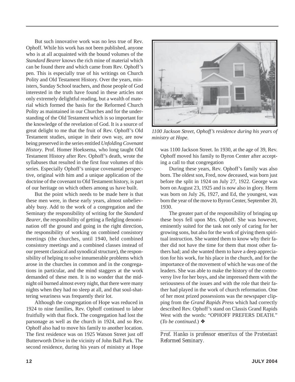But such innovative work was no less true of Rev. Ophoff. While his work has not been published, anyone who is at all acquainted with the bound volumes of the *Standard Bearer* knows the rich mine of material which can be found there and which came from Rev. Ophoff's pen. This is especially true of his writings on Church Polity and Old Testament History. Over the years, ministers, Sunday School teachers, and those people of God interested in the truth have found in these articles not only extremely delightful reading, but a wealth of material which formed the basis for the Reformed Church Polity as maintained in our Churches and for the understanding of the Old Testament which is so important for the knowledge of the revelation of God. It is a source of great delight to me that the fruit of Rev. Ophoff's Old Testament studies, unique in their own way, are now being preserved in the series entitled *Unfolding Covenant History*. Prof. Homer Hoeksema, who long taught Old Testament History after Rev. Ophoff's death, wrote the syllabuses that resulted in the first four volumes of this series. Especially Ophoff's unique covenantal perspective, original with him and a unique application of the doctrine of the covenant to Old Testament history, is part of our heritage on which others among us have built.

But the point which needs to be made here is that these men were, in these early years, almost unbelievably busy. Add to the work of a congregation and the Seminary the responsibility of writing for the *Standard Bearer*, the responsibility of getting a fledgling denomination off the ground and going in the right direction, the responsibility of working on combined consistory meetings (the churches, until 1940, held combined consistory meetings and a combined classes instead of our present classical and synodical structure), the responsibility of helping to solve innumerable problems which arose in the churches in common and in the congregations in particular, and the mind staggers at the work demanded of these men. It is no wonder that the midnight oil burned almost every night, that there were many nights when they had no sleep at all, and that soul-shattering weariness was frequently their lot.

Although the congregation of Hope was reduced in 1924 to nine families, Rev. Ophoff continued to labor fruitfully with that flock. The congregation had lost the parsonage as well as the church in 1924, and so Rev. Ophoff also had to move his family to another location. The first residence was on 1925 Watson Street just off Butterworth Drive in the vicinity of John Ball Park. The second residence, during his years of ministry at Hope



*1100 Jackson Street, Ophoff's residence during his years of ministry at Hope.*

was 1100 Jackson Street. In 1930, at the age of 39, Rev. Ophoff moved his family to Byron Center after accepting a call to that congregation

During these years, Rev. Ophoff's family was also born. The oldest son, Fred, now deceased, was born just before the split in 1924 on July 27, 1922. George was born on August 23, 1925 and is now also in glory. Herm was born on July 26, 1927, and Ed, the youngest, was born the year of the move to Byron Center, September 20, 1930.

The greater part of the responsibility of bringing up these boys fell upon Mrs. Ophoff. She was however, eminently suited for the task not only of caring for her growing sons, but also for the work of giving them spiritual instruction. She wanted them to know why their father did not have the time for them that most other fathers had; and she wanted them to have a deep appreciation for his work, for his place in the church, and for the importance of the movement of which he was one of the leaders. She was able to make the history of the controversy live for her boys, and she impressed them with the seriousness of the issues and with the role that their father had played in the work of church reformation. One of her most prized possessions was the newspaper clipping from the *Grand Rapids Press* which had correctly described Rev. Ophoff's stand on Classis Grand Rapids West with the words: "OPHOFF PREFERS DEATH." (*To be continued.*) ❖

*\_\_\_\_\_\_\_\_\_\_\_\_\_\_\_\_\_\_\_\_\_\_\_\_\_\_\_\_\_\_\_\_\_\_\_\_\_\_\_\_\_\_\_\_\_\_\_\_\_\_ Prof. Hanko is professor emeritus of the Protestant Reformed Seminary.*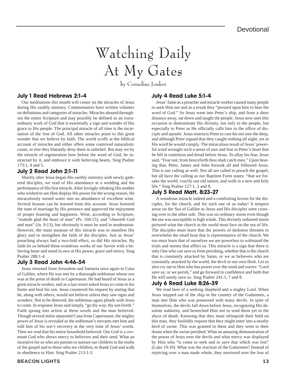# Watching Daily At My Gates

by Cornelius Jonker

#### July 1 Read Hebrews 2:1-4

Our meditations this month will center on the miracles of Jesus during His earthly ministry. Commentators have written volumes on definitions and categories of miracles. Miracles abound throughout the entire Scripture and may possibly be defined as an extraordinary work of God that is essentially a sign and wonder of His grace to His people. The principal miracle of all time is the incarnation of the Son of God. All other miracles point to this great wonder that we believe by faith. The world scoffs at the biblical account of miracles and either offers some contrived naturalistic cause, or else they blatantly deny them in unbelief. But may we by the miracle of regeneration bow before the word of God, be instructed by it, and embrace it with believing hearts. Sing Psalter 173:1, 4 and 5.

#### July 2 Read John 2:1-11

Shortly after Jesus began His earthly ministry with newly gathered disciples, we read of His attendance at a wedding and the performance of His first miracle. After lovingly rebuking His mother who wished to see Him display His power for the wrong reason, He miraculously turned water into an abundance of excellent wine. Several lessons can be learned from this account. Jesus honored the state of marriage by His presence and approved the enjoyment of proper feasting and happiness. Wine, according to Scripture, "maketh glad the heart of man" (Ps. 104:15), and "cheereth God and man" (Ju. 9:13), but obviously it must be used in moderation. However, the main purpose of this miracle was to manifest His glory and to strengthen the faith of the disciples. Just as Jesus' preaching always had a two-fold effect, so did His miracles. By faith let us behold these wondrous works of our Savior with a believing heart and stand in awe at His power, grace and mercy. Sing Psalter 288:1-4.

#### July 3 Read John 4:46-54

Jesus returned from Jerusalem and Samaria once again to Cana of Galilee, where He was met by a distraught nobleman whose son was at the point of death in Capernaum. He had heard of Jesus as a great miracle worker, and as a last resort asked Jesus to come to his home and heal his son. Jesus countered his request by stating that he, along with others, would not believe unless they saw signs and wonders. Not to be deterred, the nobleman again pleads with Jesus to come. In response Jesus said simply, "go thy way; thy son liveth." Faith sprang into action at these words and the man believed. Though several miles separated Cana from Capernaum, the mighty power of Jesus is revealed as the nobleman's servants met him and told him of his son's recovery at the very time of Jesus' words. Then we read that his entire household believed. Our God is a covenant God who shows mercy to believers and their seed. What an incentive for us who are parents to nurture our children in the truths of the gospel and to those who are children, to thank God and walk in obedience to Him. Sing Psalter 213:1-3.

#### **BEACON LIGHTS 13**

#### July 4 Read Luke 5:1-4

Jesus' fame as a preacher and miracle worker caused many people to seek Him out and as a result they "pressed upon him to hear the word of God." So Jesus went into Peter's ship, and from a short distance away, sat down and taught the people. Jesus now uses this occasion to demonstrate His divinity, not only to the people, but especially to Peter as He officially calls him to the office of disciple and apostle. Jesus instructs Peter to cast his net into the deep, and although Peter argued that they caught nothing all night, yet at His word he would comply. The miraculous result of Jesus' powerful word wrought such a sense of awe and fear in Peter's heart that he fell in contrition and dread before Jesus. To allay his fear, Jesus said, "Fear not; from henceforth thou shalt catch men." Upon hearing that, Peter, James and John forsook all and followed Jesus. This is our calling as well. Not all are called to preach the gospel, but all have the calling as our Baptism Form states: "that we forsake the world, crucify our old nature, and walk in a new and holy life." Sing Psalter 127:1, 2 and 8.

#### July 5 Read Matt. 8:23-27

A wondrous miracle indeed and a comforting lesson for the disciples, for the church, and for each one of us today! A tempest arose on the Sea of Galilee as Jesus and His disciples were crossing over to the other side. This was no ordinary storm even though the sea was susceptible to high winds. This divinely ordained storm pictured what the church in the world must face on the sea of life. The disciples must learn that the powers of darkness threaten to overwhelm the small boat that is representative of the church. We too must learn that of ourselves we are powerless to withstand the trials and storms that afflict us. This miracle is a sign that there is only One who can save us from perishing, whether that is the church that is constantly attacked by Satan, or we as believers who are constantly attacked by the world, the devil or our own flesh. Let us also cry out to Him who has power over the wind and waves: "Lord save us; or we perish," and go forward in confidence and faith that He will surely save us. Sing Psalter 241:1, 7 and 8.

#### July 6 Read Luke 8:26-39

We read here of a seeking shepherd and a mighty Lord. When Jesus stepped out of the ship in the country of the Gadarenes, a man met Him who was possessed with many devils. In spite of themselves, the devils fall down before Jesus, recognizing His absolute authority, and beseeched Him not to send them yet to the abyss of death. Knowing that they must relinquish their hold on this man, they foolishly request that they might enter into a nearby herd of swine. This was granted to them and they went to their doom when the swine perished. What an amazing demonstration of the power of Jesus over the devils and what mercy was displayed by Him who "is come to seek and to save that which was lost" (Luke 19:10). What was the reaction of the Gadarenes? Instead of rejoicing over a man made whole, they sorrowed over the loss of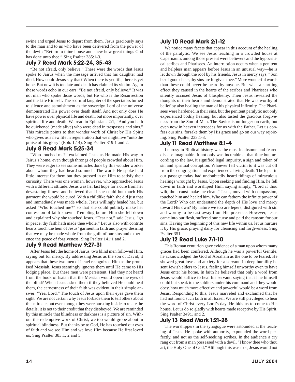swine and urged Jesus to depart from them. Jesus graciously says to the man and to us who have been delivered from the power of the devil: "Return to thine house and shew how great things God has done unto thee." Sing Psalter 385:1-3.

#### July 7 Read Mark 5:22-24, 35-43

"Be not afraid, only believe." These were the words that Jesus spoke to Jairus when the message arrived that his daughter had died. How could Jesus say that? When there is yet life, there is yet hope. But now it is too late and death has claimed its victim. Again these words echo in our ears: "Be not afraid, only believe." It was not man who spoke those words, but He who is the Resurrection and the Life Himself. The scornful laughter of the spectators turned to silence and astonishment as the sovereign Lord of the universe demonstrated His power over death itself. And not only does He have power over physical life and death, but more importantly, over spiritual life and death. We read in Ephesians 2:1, "And you hath he quickened (made alive) who were dead in trespasses and sins." This miracle points to that wonder work of Christ by His Spirit who gives us a new life in regeneration that we might live "unto the praise of his glory" (Eph. 1:14). Sing Psalter 319:1 and 2.

#### July 8 Read Mark 5:25-34

"Who touched me?" exclaimed Jesus as He made His way to Jairus's home, even though throngs of people crowded about Him. They were eager to see some miracles done by this wonder worker about whom they had heard so much. The words He spoke held little interest for them but they pressed in on Him to satisfy their curiosity. There was one woman, however, who approached Jesus with a different attitude. Jesus was her last hope for a cure from her devastating illness and believed that if she could but touch His garment she would be cured. With a childlike faith she did just that and immediately was made whole. Jesus willingly healed her, but asked "Who touched me?" so that she could publicly make her confession of faith known. Trembling before Him she fell down and explained why she touched Jesus. "Fear not," said Jesus, "go in peace, thy faith hath made thee whole." Let us also with contrite hearts touch the hem of Jesus' garment in faith and prayer desiring that we may be made whole from the guilt of our sins and experience the peace of forgiveness. Sing Psalter 141:1 and 2.

#### July 9 Read Matthew 9:27-31

After Jesus left the home of Jairus, two blind men followed Him, crying out for mercy. By addressing Jesus as the son of David, it appears that these two men of Israel recognized Him as the promised Messiah. Jesus seemingly ignores them until He came to His lodging place. But these men were persistent. Had they not heard from the book of Isaiah that the Messiah would open the eyes of the blind? When Jesus asked them if they believed He could heal them, the earnestness of their faith was evident in their simple answer: "Yea, Lord." The touch of Jesus upon their eyes gave them sight. We are not certain why Jesus forbade them to tell others about this miracle, but even though they were bursting inside to relate the details, it is not to their credit that they disobeyed. We are reminded by this miracle that blindness or darkness is a picture of sin. Without the redemptive work of Christ, we too would grope about in spiritual blindness. But thanks be to God, He has touched our eyes of faith and we see Him and we love Him because He first loved us. Sing Psalter 383:1, 2 and 5.

#### July 10 Read Mark 2:1-12

We notice many facets that appear in this account of the healing of the paralytic. We see Jesus teaching in a crowded house at Capernaum; among those present were believers and the hypocritical scribes and Pharisees. An interruption occurs when a penitent and helpless man appears before Jesus in an unusual way—he is let down through the roof by his friends. Jesus in mercy says, "Son be of good cheer, thy sins are forgiven thee." More wonderful words than these could never be heard by anyone. But what a startling effect they caused in the hearts of the scribes and Pharisees who silently accused Jesus of blasphemy. Then Jesus revealed the thoughts of their hearts and demonstrated that He was worthy of belief by also healing the man of his physical infirmity. The Pharisees were hardened in their sins, but the penitent paralytic not only experienced bodily healing, but also tasted the gracious forgiveness from the Son of Man. The Savior is no longer on earth, but even now in heaven intercedes for us with the Father. Let us confess our sins, forsake them by His grace and go on our way rejoicing. Sing Psalter 233:1-3.

#### July 11 Read Matthew 8:1-4

Leprosy in Biblical history was the most loathsome and feared disease imaginable. It not only was incurable at that time but, according to the law, it signified legal impurity, a sign and token of sin and spiritual corruption. Whoever fell victim to it was cut off from the congregation and experienced a living death. The leper in our passage today had undoubtedly heard tidings of miraculous healings wrought by Jesus. Upon seeking and finding Him, he fell down in faith and worshiped Him, saying simply, "Lord if thou wilt, thou canst make me clean." Jesus, moved with compassion, touched him and healed him. Who can fathom the infinite power of the Lord? Who can understand the depth of His love and mercy toward His own? By nature we too are lepers, disfigured with sin and worthy to be cast away from His presence. However, Jesus came into our flesh, suffered our curse and paid the ransom for our sins. Having the beginning of this new life within us, let us nurture it by His grace, praying daily for cleansing and forgiveness. Sing Psalter 351.

#### July 12 Read Luke 7:1-10

This Roman centurion gave evidence of a man upon whom many graces had been conferred. Although he was a powerful Gentile, he acknowledged the God of Abraham as the one to be feared. He showed great love and anxiety for a servant. In deep humility he sent Jewish elders to Jesus, feeling himself unworthy even to have Jesus enter his home. In faith he believed that only a word from Jesus would suffice to heal his servant, saying that if he himself could but speak to the soldiers under his command and they would obey, how much more effective and powerful would be a word from Jesus. Responding to this, Jesus marveled and exclaimed that he had not found such faith in all Israel. We are still privileged to hear the word of Christ every Lord's day. He bids us to come to His house. Let us do so gladly with hearts made receptive by His Spirit. Sing Psalter 349:1 and 2.

#### July 13 Read Mark 1:21-28

The worshippers in the synagogue were astounded at the teaching of Jesus. He spoke with authority, expounded the word perfectly, and not as the self-seeking scribes. In the audience a cry rang out from a man possessed with a devil, "I know thee who thou art, the Holy One of God." Although this was true, Jesus would not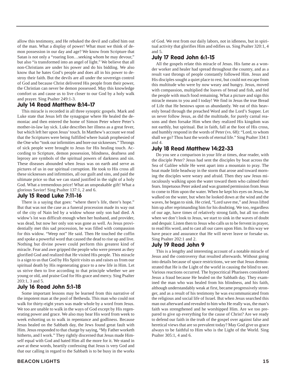allow this testimony, and He rebuked the devil and called him out of the man. What a display of power! What must we think of demon possession in our day and age? We know from Scripture that Satan is not only a "roaring lion…seeking whom he may devour," but also "is transformed into an angel of light." We believe that all non-Christians are under his power and do his bidding. We also know that he hates God's people and does all in his power to destroy their faith. But the devils are all under the sovereign control of God and because Christ delivered His people from their power, the Christian can never be demon possessed. May this knowledge comfort us and cause us to live closer to our God by a holy walk and prayer. Sing Psalter 249:1-3.

#### July 14 Read Matthew 8:14-17

This miracle is recorded in all three synoptic gospels. Mark and Luke state that Jesus left the synagogue where He healed the demoniac and then entered the home of Simon Peter where Peter's mother-in-law lay sick. Luke describes her illness as a great fever, but which left her upon Jesus' touch. In Matthew's account we read that the Scriptures were being fulfilled where Isaiah prophesied of the One who "took our infirmities and bore our sicknesses." Throngs of sick people were brought to Jesus for His healing touch. According to Scripture, demon possession, blindness, deafness and leprosy are symbols of the spiritual powers of darkness and sin. These diseases abounded when Jesus was on earth and serve as pictures of us in our spiritual corruption. He took to His cross all these sicknesses and infirmities, all our guilt and sins, and paid the ultimate price so that we can stand justified in the sight of a holy God. What a tremendous price! What an unspeakable gift! What a glorious Savior! Sing Psalter 137:1, 2 and 6.

#### July 15 Read Luke 7:11-16

There is a saying that goes: "where there's life, there's hope." But that was not the case as a funeral procession made its way out of the city of Nain led by a widow whose only son had died. A widow's lot was difficult enough when her husband, and provider, was dead, but now her only son was gone as well. As Jesus providentially met this sad procession, he was filled with compassion for this widow. "Weep not" He said. Then He touched the coffin and spoke a powerful word that caused the dead to rise up and live. Nothing but divine power could perform this greatest kind of miracle. Fear and awe gripped the people who were present as they glorified God and realized that He visited His people. This miracle is a sign to us that God by His Spirit visits us and raises us from our spiritual death by His regenerating grace to a new life in Him. Let us strive then to live according to that principle whether we are young or old, and praise God for His grace and mercy. Sing Psalter 203:1, 3 and 5.

#### July 16 Read John 5:1-18

Some important lessons may be learned from this narrative of the impotent man at the pool of Bethesda. This man who could not walk for thirty-eight years was made whole by a word from Jesus. We too are unable to walk in the ways of God except by His regenerating power and grace. We also may hear His word from week to week exhorting us to walk in repentance and godliness. Because Jesus healed on the Sabbath day, the Jews found great fault with Him. Jesus responded to that charge by saying, "My Father worketh hitherto, and I work." They rightly discerned that Jesus made Himself equal with God and hated Him all the more for it. We stand in awe at these words, heartily confessing that Jesus is very God and that our calling in regard to the Sabbath is to be busy in the works

of God. We rest from our daily labors, not in idleness, but in spiritual activity that glorifies Him and edifies us. Sing Psalter 320:1, 4 and 5.

#### July 17 Read John 6:1-15

All the gospels relate this miracle of Jesus. His fame as a wonder worker and healer had spread throughout the country, and as a result vast throngs of people constantly followed Him. Jesus and His disciples sought a quiet place to rest, but could not escape from this multitude who were by now weary and hungry. Jesus, moved with compassion, multiplied the loaves of bread and fish, and fed the people with much food remaining. What a picture and sign this miracle means to you and I today! We find in Jesus the true Bread of Life that He bestows upon us abundantly. We eat of this heavenly bread through the preached Word and the Lord's Supper. Let us never follow Jesus, as did the multitude, for purely carnal reasons and then forsake Him when they realized His kingdom was not earthly, but spiritual. But in faith, fall at the foot of His cross, and humbly respond in the words of Peter (vs. 68): "Lord, to whom shall we go? Thou hast the words of eternal life." Sing Psalter 334:1 and 4.

#### July 18 Read Matthew 14:22-33

Do you see a comparison in your life at times, dear reader, with the disciple Peter? Jesus had sent the disciples by boat across the Sea of Galilee while He went apart into a mountain to pray. The boat made little headway in the storm that arose and toward morning the disciples were weary and afraid. Then they saw Jesus miraculously walking upon the water toward them who calmed their fears. Impetuous Peter asked and was granted permission from Jesus to come to Him upon the water. When he kept his eyes on Jesus, he walked on the water, but when he looked down at the wind and the waves, he began to sink. He cried, "Lord save me," and Jesus lifted him up after reprimanding him for his doubting. We too, regardless of our age, have times of relatively strong faith, but all too often when we don't look to Jesus, we start to sink in the waves of doubt and despair. Listen then to Jesus who calls us to be fervent in prayer, to read His word, and to cast all our cares upon Him. In this way we have peace and assurance that He will never leave or forsake us. Sing Psalter 202:1 and 2.

#### July 19 Read John 9

This is a lengthy and interesting account of a notable miracle of Jesus and the controversy that resulted afterwards. Without going into details because of space restrictions, we see that Jesus demonstrated that He is the Light of the world in causing the blind to see. Various reactions occurred. The hypocritical Pharisees considered Jesus a fraud because He healed on the Sabbath day. They examined the man who was healed from his blindness, and his faith, although understandably weak at first, became progressively stronger, and as a result of his testimony he was excommunicated from the religious and social life of Israel. But when Jesus searched this man out afterward and revealed to him who He really was, the man's faith was strengthened and he worshipped Him. Are we too prepared to give up everything for the cause of Christ? Are we ready to defend our faith in the truth of the gospel over against false and heretical views that are so prevalent today? May God give us grace always to be faithful to Him who is the Light of the World. Sing Psalter 305:1, 4 and 6.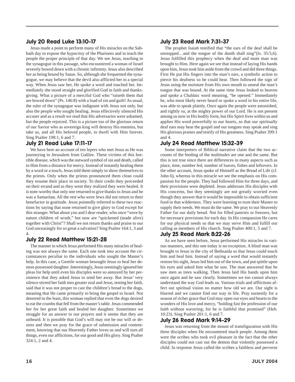#### July 20 Read Luke 13:10-17

Jesus made a point to perform many of His miracles on the Sabbath day to expose the hypocrisy of the Pharisees and to teach the people the proper principle of that day. We see Jesus, teaching in the synagogue in this passage, who encountered a woman of Israel severely bowed down with a chronic infirmity. Jesus also described her as being bound by Satan. So, although she frequented the synagogue, we may believe that the devil also afflicted her in a special way. When Jesus saw her, He spoke a word and touched her. Immediately she stood straight and glorified God in faith and thanksgiving. What a picture of a merciful God who "raiseth them that are bowed down" (Ps. 146:8) with a load of sin and guilt! As usual, the ruler of the synagogue was indignant with Jesus not only, but also the people who sought healing. Jesus effectively silenced His accuser and as a result we read that His adversaries were ashamed, but the people rejoiced. This is a picture too of the glorious return of our Savior who as sovereign king will destroy His enemies, but take us, and all His beloved people, to dwell with Him forever. Sing Psalter 198:1, 6 and 7.

#### July 21 Read Luke 17:11-17

We have here an account of ten lepers who met Jesus as He was journeying to Jerusalem from Galilee. These victims of this horrible disease, which was the outward symbol of sin and death, called to Him from a distance for mercy. Instead of instantly healing them by a word or a touch, Jesus told them simply to show themselves to the priests. Only when the priests pronounced them clean could they resume their place in society. To their credit they proceeded on their errand and as they went they realized they were healed. It is note-worthy that only one returned to give thanks to Jesus and he was a Samaritan. All the rest who were Jews did not return to their benefactor in gratitude. Jesus pointedly referred to these two reactions by saying that none returned to give glory to God except for this stranger. What about you and I dear reader, who once "were by nature children of wrath," but now are "quickened (made alive) together with Christ"? Shall we not return thanks and praise to our God unceasingly for so great a salvation? Sing Psalter 164:1, 3 and 4.

#### July 22 Read Matthew 15:21-28

The manner in which Jesus performed His many miracles of healing was not always the same. Each one took into account the circumstances peculiar to the individuals who sought the Master's help. In this case, a Gentile woman besought Jesus to heal her demon-possessed daughter. Interestingly, Jesus seemingly ignored her pleas for help until even his disciples were so annoyed by her persistence that they asked Jesus to send her away. But Jesus' very silence stirred her faith into greater zeal and Jesus, testing her faith, said that it was not proper to cast the children's bread to the dogs, meaning that He came primarily to bring the gospel to Israel. Not deterred in the least, this woman replied that even the dogs desired to eat the crumbs that fell from the master's table. Jesus commended her for her great faith and healed her daughter. Sometimes we struggle for an answer to our prayers and it seems that they are unheard. It is possible that God's will may not be our will or desires and then we pray for the grace of submission and contentment, knowing that our Heavenly Father loves us and will turn all things, even our afflictions, for our good and His glory. Sing Psalter 324:1, 2 and 4.

#### July 23 Read Mark 7:31-37

The prophet Isaiah testified that "the ears of the deaf shall be unstopped…and the tongue of the dumb shall sing"(Is. 35:5,6). Jesus fulfilled this prophecy when the deaf and mute man was brought to Him. Here again we see that instead of laying His hands upon him, Jesus took him aside from the crowd and did three things. First He put His fingers into the man's ears, a symbolic action to pierce his deafness so he could hear. Then followed the sign of Jesus using the moisture from His own mouth to unseal the man's tongue that was bound. At the same time Jesus looked to heaven and spoke a Chaldaic word meaning, "be opened." Immediately he, who most likely never heard or spoke a word in his entire life, was able to speak plainly. Once again the people were astonished, and rightly so, at the mighty power of our Lord. He is not present among us now in His bodily form, but His Spirit lives within us and applies His word powerfully to our hearts, so that our spiritually deaf ears may hear the gospel and our tongues may speak and sing His glorious praises and testify of His greatness. Sing Psalter 399:1 and 4.

#### July 24 Read Matthew 15:32-39

Some interpreters of Biblical narrative claim that the two accounts of the feeding of the multitudes are one and the same. But this is not true since there are differences in many aspects such as place, time, number fed, number of loaves, fishes and leftovers. In the other account, Jesus spoke of Himself as the Bread of Life (cf. John 6), whereas in this miracle we see the emphasis on His compassion for the people. They had followed Him for three days, and their provisions were depleted. Jesus addresses His disciples with His concerns, but they seemingly are not greatly worried even though they answer that it would be impossible to obtain sufficient food in that wilderness. They were learning to trust their Master to supply their needs. We must do the same. We pray to our Heavenly Father for our daily bread. Not for filled pantries or freezers, but for necessary provisions for each day. In His compassion He cares for our physical needs so that we may serve Him and fulfill our calling as members of His church. Sing Psalter 400:1, 5 and 7.

#### July 25 Read Mark 8:22-26

As we have seen before, Jesus performed His miracles in various manners, and this one today is no exception. A blind man was brought to Jesus in the city of Bethsaida so that Jesus could touch him and heal him. Instead of saying a word that would instantly restore his sight, Jesus led him out of the town, and put spittle upon his eyes and asked him what he saw. The man answered that he saw men as trees walking. Then Jesus laid His hands upon him once again and he saw clearly. Sometimes we too cannot always understand the way God leads us. Various trials and afflictions affect out spiritual vision no matter how old we are. Our sight is blurred and we cannot find our way in life. Pray earnestly for a season of richer grace that God may open our eyes and hearts to the wonders of His love and mercy, "holding fast the profession of our faith without wavering; for he is faithful that promised" (Heb. 10:23). Sing Psalter 201:1, 6 and 7.

#### July 26 Read Mark 9:14-29

Jesus was returning from the mount of transfiguration with His three disciples when He encountered much people. Among them were the scribes who took evil pleasure in the fact that the other disciples could not cast out the demon that violently possessed a child. In response Jesus called the scribes a faithless and perverse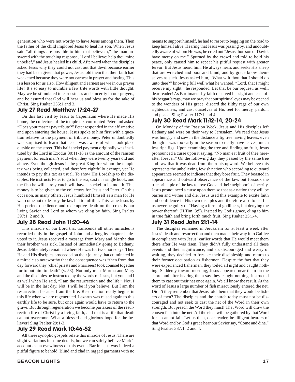generation who were not worthy to have Jesus among them. Then the father of the child implored Jesus to heal his son. When Jesus said "all things are possible to him that believeth," the man answered with the touching response, "Lord I believe; help thou mine unbelief," and Jesus healed his child. Afterward when the disciples asked Jesus why they could not cast out that devil because earlier they had been given that power, Jesus told them that their faith had weakened because they were not earnest in prayer and fasting. This is a lesson for us also. How diligent and earnest are we in our prayer life? It's so easy to mumble a few trite words with little thought. May we be stimulated to earnestness and sincerity in our prayers, and be assured that God will hear us and bless us for the sake of Christ. Sing Psalter 235:1 and 3.

#### July 27 Read Matthew 17:24-27

On this last visit by Jesus to Capernaum where He made His home, the collectors of the temple tax confronted Peter and asked "Does your master pay tribute?" Peter responded in the affirmative and upon entering the house, Jesus spoke to him first with a question relative to the payment of tribute money. Peter undoubtedly was surprised to learn that Jesus was aware of what took place outside on the street. This half shekel payment originally was instituted by the Lord in Exodus 30:11-16 as the amount of the ransom payment for each man's soul when they were twenty years old and above. Even though Jesus is the great King for whom the temple tax was being collected, and therefore rightfully exempt, yet He intends to pay this tax as usual. To show His Lordship to the disciples, He instructs Peter to go to the sea, cast in a single hook, and the fish he will surely catch will have a shekel in its mouth. This money is to be given to the collectors for Jesus and Peter. On this occasion, as many others, Jesus humbled Himself as a man for He was come not to destroy the law but to fulfill it. This same Jesus by His perfect obedience and redemptive death on the cross is our living Savior and Lord to whom we cling by faith. Sing Psalter 397:1, 2 and 8.

#### July 28 Read John 11:20-46

This miracle of our Lord that transcends all other miracles is recorded only in the gospel of John and a lengthy chapter is devoted to it. Jesus received a message from Mary and Martha that their brother was sick. Instead of immediately going to Bethany, Jesus deliberately remained where He was for two more days. Then He and His disciples proceeded on their journey that culminated in a miracle so noteworthy that the consequence was "then from that day forward they (chief priests and Pharisees) took counsel together for to put him to death" (v. 53). Not only must Martha and Mary and the disciples be instructed by the words of Jesus, but you and I as well when He said, "I am the resurrection and the life." Not, I will be in the last day. Not, I will be if you believe. But I am the resurrection because I am the life. Resurrection really begins in this life when we are regenerated. Lazarus was raised again to this earthly life to be sure, but once again would have to return to the grave. But through regeneration we become partakers of the resurrection life of Christ by a living faith, and that is a life that death cannot overcome. What a blessed and glorious hope for the believer! Sing Psalter 29:1-3.

#### July 29 Read Mark 10:46-52

All three synoptic gospels relate this miracle of Jesus. There are slight variations in some details, but we can safely believe Mark's account as an eyewitness of this event. Bartimaeus was indeed a pitiful figure to behold. Blind and clad in ragged garments with no means to support himself, he had to resort to begging on the road to keep himself alive. Hearing that Jesus was passing by, and undoubtedly aware of whom He was, he cried out "Jesus thou son of David, have mercy on me." Spurned by the crowd and told to hold his peace, only caused him to repeat his pitiful request with greater fervor. But Jesus heard him. He always hears and seeks His sheep that are wretched and poor and blind, and by grace know themselves as such. Jesus asked him, "What wilt thou that I should do unto thee?" knowing full well what he wanted. "Lord, that I might receive my sight," he responded. Let that be our request, as well, dear reader! As Bartimaeus by faith received his sight and cast off his beggar's rags, may we pray that our spiritual eyes may be opened to the wonders of His grace, discard the filthy rags of our own righteousness, and cast ourselves at His feet for mercy, pardon, and peace. Sing Psalter 117:1 and 4.

#### July 30 Read Mark 11:12-14, 20-24

On Monday of the Passion Week, Jesus and His disciples left Bethany and were on their way to Jerusalem. We read that Jesus was hungry and saw in the distance a fig tree having leaves, even though it was too early in the season to really have leaves, much less ripe figs. Upon examining the tree and finding no fruit, Jesus pronounced a curse upon it saying, "No man eat fruit of thee hereafter forever." On the following day they passed by the same tree and saw that it was dead from the roots upward. We believe this represents the unbelieving Jewish nation who according to outward appearance seemed to indicate that they bore fruit. They boasted in appearance and outward observance of the law, but forsook the true principle of the law to love God and their neighbor in sincerity. Jesus pronounced a curse upon them so that as a nation they will be barren and wither and die. Jesus used this example to excite faith and confidence in His own disciples and therefore also to us. Let us never be guilty of "Having a form of godliness, but denying the power thereof" (II Tim. 3:5). Instead by God's grace, cling to him in true faith and bring forth much fruit. Sing Psalter 25:1-4.

#### July 31 Read John 21:1-14

The disciples remained in Jerusalem for at least a week after Jesus' death and resurrection and then made their way into Galilee in compliance with Jesus' earlier words that He would meet them there after He was risen. They didn't fully understand all these events and their significance, and so, discouraged and weary of waiting, they decided to forsake their discipleship and return to their former occupation as fishermen. Despite the fact that they were experienced fishermen, they toiled all night and caught nothing. Suddenly toward morning, Jesus appeared near them on the shore and after hearing them say they caught nothing, instructed them to cast out their net once again. We all know the result. At the word of Jesus a large number of fish miraculously entered the net. Didn't they remember that Jesus told them that they would be fishers of men? The disciples and the church today must not be discouraged and not seek to cast the net of the Word in their own strength. But preach the Word they must! That Word will draw the chosen fish into the net. All the elect will be gathered by that Word for it cannot fail. Let us then, dear reader, be diligent hearers of that Word and by God's grace hear our Savior say, "Come and dine." Sing Psalter 337:1, 2 and 4.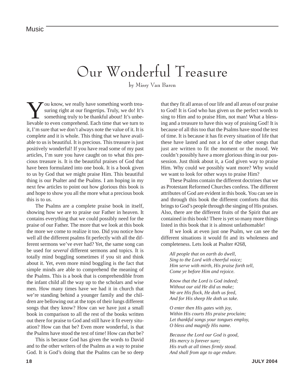### Our Wonderful Treasure

by Missy Van Baren

ou know, we really have something worth treasuring right at our fingertips. Truly, we do! It's something truly to be thankful about! It's unbelievable to even comprehend. Each time that we turn to it, I'm sure that we don't always note the value of it. It is complete and it is whole. This thing that we have available to us is beautiful. It is precious. This treasure is just positively wonderful! If you have read some of my past articles, I'm sure you have caught on to what this precious treasure is. It is the beautiful praises of God that have been formulated into one book. It is a book given to us by God that we might praise Him. This beautiful thing is our Psalter and the Psalms. I am hoping in my next few articles to point out how glorious this book is and hope to show you all the more what a precious book this is to us.

The Psalms are a complete praise book in itself, showing how we are to praise our Father in heaven. It contains everything that we could possibly need for the praise of our Father. The more that we look at this book the more we come to realize it too. Did you notice how well all the different psalms fit perfectly with all the different sermons we've ever had? Yet, the same song can be used for *several* different sermons and topics. It is totally mind boggling sometimes if you sit and think about it. Yet, even more mind boggling is the fact that simple minds are able to comprehend the meaning of the Psalms. This is a book that is comprehendible from the infant child all the way up to the scholars and wise men. How many times have we had it in church that we're standing behind a younger family and the children are bellowing out at the tops of their lungs different songs that they know? How can we have just a small book in comparison to all the rest of the books written out there for praise to God and still have it fit every situation? How can that be? Even more wonderful, is that the Psalms have stood the test of time! How can *that* be?

This is because God has given the words to David and to the other writers of the Psalms as a way to praise God. It is God's doing that the Psalms can be so deep that they fit all areas of our life and all areas of our praise to God! It is God who has given us the perfect words to sing to Him and to praise Him, not man! What a blessing and a treasure to have this way of praising God! It is because of all this too that the Psalms have stood the test of time. It is because it has fit every situation of life that these have lasted and not a lot of the other songs that just are written to fit the moment or the mood. We couldn't possibly have a more glorious thing in our possession. Just think about it, a God given way to praise Him. Why could we possibly want more? Why would we want to look for other ways to praise Him?

These Psalms contain the different doctrines that we as Protestant Reformed Churches confess. The different attributes of God are evident in this book. You can see in and through this book the different comforts that this brings to God's people through the singing of His praises. Also, there are the different fruits of the Spirit that are contained in this book! There is yet so many more things listed in this book that it is almost unfathomable!

If we look at even just one Psalm, we can see the different situations it would fit and its wholeness and completeness. Lets look at Psalter #268,

*All people that on earth do dwell, Sing to the Lord with cheerful voice; Him serve with mirth, His praise forth tell, Come ye before Him and rejoice.*

*Know that the Lord is God indeed; Without our aid He did us make; We are His flock, He doth us feed, And for His sheep He doth us take.*

*O enter then His gates with joy, Within His courts His praise proclaim; Let thankful songs your tongues employ, O bless and magnify His name.*

*Because the Lord our God is good, His mercy is forever sure; His truth at all times firmly stood. And shall from age to age endure.*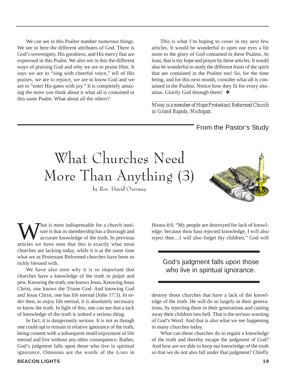We can see in this Psalter number *numerous* things. We see in here the different attributes of God. There is God's sovereignty, His goodness, and His mercy that are expressed in this Psalm. We also see in this the different ways of praising God and why we are to praise Him. It says we are to "sing with cheerful voice," tell of His praises, we are to rejoice, we are to know God and we are to "enter His gates with joy." It is completely amazing the more you think about it what all is contained in this same Psalm. What about all the others?

This is what I'm hoping to cover in my next few articles. It would be wonderful to open our eyes a bit more to the glory of God contained in these Psalms. At least, that is my hope and prayer by these articles. It would also be wonderful to study the different fruits of the spirit that are contained in the Psalms too! So, for the time being, and for this next month, consider what all is contained in the Psalms. Notice how they fit for every situation. Glorify God through them! ❖

*\_\_\_\_\_\_\_\_\_\_\_\_\_\_\_\_\_\_\_\_\_\_\_\_\_\_\_\_\_\_\_\_\_\_\_\_\_\_\_\_\_\_\_\_\_\_\_\_\_\_\_ Missy is a member of Hope Protestant Reformed Church in Grand Rapids, Michigan.*

From the Pastor's Study

# What Churches Need More Than Anything (3)

by Rev. David Overway



What is most indispensable for a church insti-<br>tute is that its membership has a thorough and<br>accurate knowledge of the truth. In previous<br>articles we have seen that this is exactly what most tute is that its membership has a thorough and accurate knowledge of the truth. In previous articles we have seen that this is exactly what most churches are lacking today, while it is at the same time what we as Protestant Reformed churches have been so richly blessed with.

We have also seen why it is so important that churches have a knowledge of the truth in pulpit and pew. Knowing the truth, one knows Jesus. Knowing Jesus Christ, one knows the Triune God. And knowing God and Jesus Christ, one has life eternal (John 17:3). In order then, to enjoy life eternal, it is absolutely necessary to know the truth. In light of this, one can see that a lack of knowledge of the truth is indeed a serious thing.

In fact, it is dangerously serious. It is not as though one could opt to remain in relative ignorance of the truth, being content with a subsequent small enjoyment of life eternal and live without any other consequence. Rather, God's judgment falls upon those who live in spiritual ignorance. Ominous are the words of the LORD in

Hosea 4:6: "My people are destroyed for lack of knowledge: because thou hast rejected knowledge, I will also reject thee…I will also forget thy children." God will

#### God's judgment falls upon those who live in spiritual ignorance.

destroy those churches that have a lack of the knowledge of the truth. He will do so largely in their generations, by rejecting them in their generations and casting away their children into hell. That is the serious warning of God's Word. And that is also what we see happening in many churches today.

What can these churches do to regain a knowledge of the truth and thereby escape the judgment of God? And how are we able to keep our knowledge of the truth so that we do not also fall under that judgment? Chiefly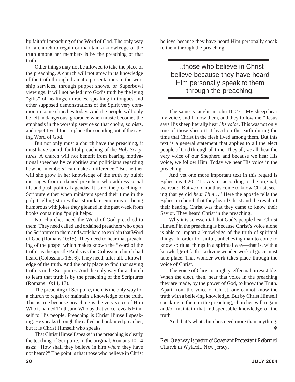by faithful preaching of the Word of God. The only way for a church to regain or maintain a knowledge of the truth among her members is by the preaching of that truth.

Other things may not be allowed to take the place of the preaching. A church will not grow in its knowledge of the truth through dramatic presentations in the worship services, through puppet shows, or Superbowl viewings. It will not be led into God's truth by the lying "gifts" of healings, miracles, speaking in tongues and other supposed demonstrations of the Spirit very common in some churches today. And the people will only be left in dangerous ignorance when music becomes the emphasis in the worship service so that choirs, soloists, and repetitive ditties replace the sounding out of the saving Word of God.

But not only must a church have the preaching, it must have sound, faithful preaching of the *Holy Scriptures*. A church will not benefit from hearing motivational speeches by celebrities and politicians regarding how her members "can make a difference." But neither will she grow in her knowledge of the truth by pulpit messages from ordained preachers who address social ills and push political agendas. It is not the preaching of Scripture either when ministers spend their time in the pulpit telling stories that stimulate emotions or being humorous with jokes they gleaned in the past week from books containing "pulpit helps."

No, churches need the Word of God preached to them. They need called and ordained preachers who open the Scriptures to them and work hard to explain that Word of God (Romans 10:15). They need to hear that preaching of the gospel which makes known the "word of the truth" as the apostle Paul says the Colossian church had heard (Colossians 1:5, 6). They need, after all, a knowledge of the truth. And the only place to find that saving truth is in the Scriptures. And the only way for a church to learn that truth is by the preaching of the Scriptures (Romans 10:14, 17).

The preaching of Scripture, then, is the only way for a church to regain or maintain a knowledge of the truth. This is true because preaching is the very voice of Him Who is named Truth, and Who by that voice reveals Himself to His people. Preaching is Christ Himself speaking. He speaks through the called and ordained preacher, but it is Christ Himself who speaks.

That Christ Himself speaks in the preaching is clearly the teaching of Scripture. In the original, Romans 10:14 asks: "How shall they believe in him *whom* they have not heard?" The point is that those who believe in Christ believe because they have heard Him personally speak to them through the preaching.

#### …those who believe in Christ believe because they have heard Him personally speak to them through the preaching.

The same is taught in John 10:27: "My sheep hear my voice, and I know them, and they follow me." Jesus says His sheep literally hear *His voice*. This was not only true of those sheep that lived on the earth during the time that Christ in the flesh lived among them. But this text is a general statement that applies to all the elect people of God through all time. They all, *we* all, hear the very voice of our Shepherd and because we hear His voice, we follow Him. Today we hear His voice in the preaching.

And yet one more important text in this regard is Ephesians 4:20, 21a. Again, according to the original, we read: "But ye did not thus come to know Christ, seeing that ye did *hear Him*…" Here the apostle tells the Ephesian church that they heard Christ and the result of their hearing Christ was that they came to know their Savior. They heard Christ in the preaching.

Why it is so essential that God's people hear Christ Himself in the preaching is because Christ's voice alone is able to impart a knowledge of the truth of spiritual things. In order for sinful, unbelieving man to come to know spiritual things in a spiritual way—that is, with a knowledge of faith—a divine wonder-work of grace must take place. That wonder-work takes place through the voice of Christ.

The voice of Christ is mighty, effectual, irresistible. When the elect, then, hear that voice in the preaching they are made, by the power of God, to know the Truth. Apart from the voice of Christ, one cannot know the truth with a believing knowledge. But by Christ Himself speaking to them in the preaching, churches will regain and/or maintain that indispensable knowledge of the truth.

And that's what churches need more than anything. ❖

*\_\_\_\_\_\_\_\_\_\_\_\_\_\_\_\_\_\_\_\_\_\_\_\_\_\_\_\_\_\_\_\_\_\_\_\_\_\_\_\_\_\_\_\_\_\_ Rev. Overway is pastor of Covenant Protestant Reformed Church in Wykcoff, New Jersey.*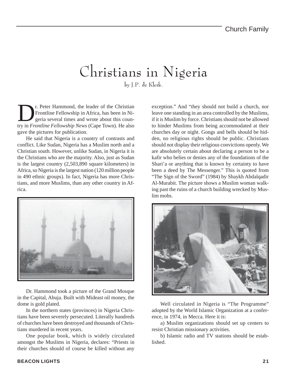### Christians in Nigeria

by J.P. de Klerk.

T. Peter Hammond, the leader of the Christian<br>Frontline Fellowship in Africa, has been in Nigeria several times and wrote about this coun-<br>try in Frontline Fellowship News (Cape Town). He also Frontline Fellowship in Africa, has been in Nigeria several times and wrote about this country in *Frontline Fellowship News* (Cape Town). He also gave the pictures for publication.

He said that Nigeria is a country of contrasts and conflict. Like Sudan, Nigeria has a Muslim north and a Christian south. However, unlike Sudan, in Nigeria it is the Christians who are the majority. Also, just as Sudan is the largest country (2,503,890 square kilometers) in Africa, so Nigeria is the largest nation (120 million people in 490 ethnic groups). In fact, Nigeria has more Christians, and more Muslims, than any other country in Africa.



Dr. Hammond took a picture of the Grand Mosque in the Capital, Abuja. Built with Mideast oil money, the dome is gold plated.

In the northern states (provinces) in Nigeria Christians have been severely persecuted. Literally hundreds of churches have been destroyed and thousands of Christians murdered in recent years.

One popular book, which is widely circulated amongst the Muslims in Nigeria, declares: "Priests in their churches should of course be killed without any

exception." And "they should not build a church, nor leave one standing in an area controlled by the Muslims, if it is Muslim by force. Christians should not be allowed to hinder Muslims from being accommodated at their churches day or night. Gongs and bells should be hidden, no religious rights should be public. Christians should not display their religious convictions openly. We are absolutely certain about declaring a person to be a kafir who belies or denies any of the foundations of the Shari'a or anything that is known by certainty to have been a deed by The Messenger." This is quoted from "The Sign of the Sword" (1984) by Shaykh Abdalqadir Al-Murabit. The picture shows a Muslim woman walking past the ruins of a church building wrecked by Muslim mobs.



Well circulated in Nigeria is "The Programme" adopted by the World Islamic Organization at a conference, in 1974, in Mecca. Here it is:

a) Muslim organizations should set up centers to resist Christian missionary activities.

b) Islamic radio and TV stations should be established.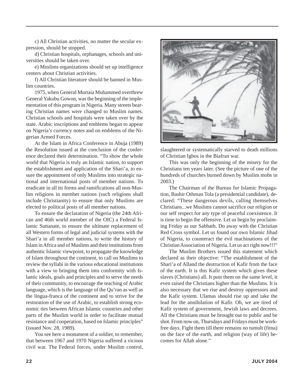c) All Christian activities, no matter the secular expression, should be stopped.

d) Christian hospitals, orphanages, schools and universities should be taken over.

e) Muslims organizations should set up intelligence centers about Christian activities.

f) All Christian literature should be banned in Muslim countries.

1975, when General Murtaia Muhammed overthrew General Yakubu Gowon, was the beginning of the implementation of this program in Nigeria. Many streets bearing Christian names were changed to Muslim names. Christian schools and hospitals were taken over by the state. Arabic inscriptions and emblems began to appear on Nigeria's currency notes and on emblems of the Nigerian Armed Forces.

At the Islam in Africa Conference in Abuja (1989) the Resolution issued at the conclusion of the conference declared their determination. "To show the whole world that Nigeria is truly an Islamic nation, to support the establishment and application of the Shari'a, to ensure the appointment of only Muslims into strategic national and international posts of member nations. To eradicate in all its forms and ramifications all non-Muslim religions in member nations (such religions shall include Christianity) to ensure that only Muslims are elected to political posts of all member nations.

To ensure the declaration of Nigeria (the 24th African and 46th world member of the OIC) a Federal Islamic Suttanate, to ensure the ultimate replacement of all Western forms of legal and judicial systems with the Shari'a in all member nations, to write the history of Islam in Africa and of Muslims and their institutions from authentic Islamic viewpoint, to propagate the knowledge of Islam throughout the continent, to call on Muslims to review the syllabi in the various educational institutions with a view to bringing them into conformity with Islamic ideals, goals and principles and to serve the needs of their community, to encourage the teaching of Arabic language, which is the language of the Qu'ran as well as the lingua-franca of the continent and to strive for the restoration of the use of Arabic, to establish strong economic ties between African Islamic countries and other parts of the Muslim world in order to facilitate mutual resistance and cooperation, based on Islamic principles" (issued Nov. 28, 1989).

You see here a monument of a soldier, to remember, that between 1967 and 1970 Nigeria suffered a vicious civil war. The Federal forces, under Muslim control,



slaughtered or systematically starved to death millions of Christian Igbos in the Biafran war.

This was only the beginning of the misery for the Christians ten years later. (See the picture of one of the hundreds of churches burned down by Muslim mobs in 2003.)

The Chairman of the Bureau for Islamic Propagation, Bashir Othman Tola (a presidential candidate), declared: "These dangerous devils, calling themselves Christians...we Muslims cannot sacrifice our religion or our self respect for any type of peaceful coexistence. It is time to begin the offensive. Let us begin by proclaiming Friday as our Sabbath. Do away with the Christian Red Cross symbol. Let us found our own Islamic Jihad of Nigeria, to counteract the evil machinations of the Christian Association of Nigeria. Let us act right now!!!"

The Muslim Brothers issued this statement which declared as their objective: "The establishment of the Shari'a of Alland the destruction of Kafir from the face of the earth. It is this Kafir system which gives these slaves (Christians) all. It puts them on the same level, it even raised the Christians higher than the Muslims. It is also necessary that we rise and destroy oppressors and the Kafir system. Ulamas should rise up and take the lead for the annihilation of Kafir. Oh, we are tired of Kafir system of government, Jewish laws and decrees. All the Christians must be brought out to public and be shot. From now on, Thursdays and Fridays must be workfree days. Fight them till there remains no tumult (fitna) on the face of the earth, and religion (way of life) becomes for Allah alone."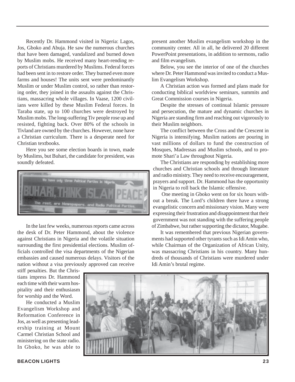Recently Dr. Hammond visited in Nigeria: Lagos, Jos, Gboko and Abuja. He saw the numerous churches that have been damaged, vandalized and burned down by Muslim mobs. He received many heart-rending reports of Christians murdered by Muslims. Federal forces had been sent in to restore order. They burned even more farms and houses! The units sent were predominantly Muslim or under Muslim control, so rather than restoring order, they joined in the assaults against the Christians, massacring whole villages. In Vaase, 1200 civilians were killed by these Muslim Federal forces. In Taraba state, up to 100 churches were destroyed by Muslim mobs. The long-suffering Tiv people rose up and resisted, fighting back. Over 80% of the schools in Tivland are owned by the churches. However, none have a Christian curriculum. There is a desperate need for Christian textbooks.

Here you see some election boards in town, made by Muslims, but Buhari, the candidate for president, was soundly defeated.



In the last few weeks, numerous reports came across the desk of Dr. Peter Hammond, about the violence against Christians in Nigeria and the volatile situation surrounding the first presidential elections. Muslim officials controlled the visa departments of the Nigerian embassies and caused numerous delays. Visitors of the nation without a visa previously approved can receive

stiff penalties. But the Christians impress Dr. Hammond each time with their warm hospitality and their enthusiasm for worship and the Word.

He conducted a Muslim Evangelism Workshop and Reformation Conference in Jos, as well as presenting leadership training at Mount Carmel Christian School and ministering on the state radio. In Gboko, he was able to

present another Muslim evangelism workshop in the community center. All in all, he delivered 20 different PowerPoint presentations, in addition to sermons, radio and film evangelism.

Below, you see the interior of one of the churches where Dr. Peter Hammond was invited to conduct a Muslim Evangelism Workshop.

A Christian action was formed and plans made for conducting biblical worldview seminars, summits and Great Commission courses in Nigeria.

Despite the stresses of continual Islamic pressure and persecution, the mature and dynamic churches in Nigeria are standing firm and reaching out vigorously to their Muslim neighbors.

The conflict between the Cross and the Crescent in Nigeria is intensifying. Muslim nations are pouring in vast millions of dollars to fund the construction of Mosques, Madressas and Muslim schools, and to promote Shari'a Law throughout Nigeria.

The Christians are responding by establishing more churches and Christian schools and through literature and radio ministry. They need to receive encouragement, prayers and support. Dr. Hammond has the opportunity in Nigeria to roll back the Islamic offensive.

One meeting in Gboko went on for six hours without a break. The Lord's children there have a strong evangelistic concern and missionary vision. Many were expressing their frustration and disappointment that their government was not standing with the suffering people of Zimbabwe, but rather supporting the dictator, Mugabe.

It was remembered that previous Nigerian governments had supported other tyrants such as Idi Amin who, while Chairman of the Organization of African Unity, was massacring Christians in his country. Many hundreds of thousands of Christians were murdered under Idi Amin's brutal regime.

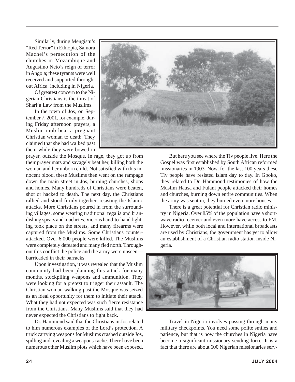Similarly, during Mengistu's "Red Terror" in Ethiopia, Samora Machel's persecution of the churches in Mozambique and Augustino Neto's reign of terror in Angola; these tyrants were well received and supported throughout Africa, including in Nigeria.

Of greatest concern to the Nigerian Christians is the threat of Shari'a Law from the Muslims.

In the town of Jos, on September 7, 2001, for example, during Friday afternoon prayers, a Muslim mob beat a pregnant Christian woman to death. They claimed that she had walked past them while they were bowed in

prayer, outside the Mosque. In rage, they got up from their prayer mats and savagely beat her, killing both the woman and her unborn child. Not satisfied with this innocent blood, these Muslims then went on the rampage down the main street in Jos, burning churches, shops and homes. Many hundreds of Christians were beaten, shot or hacked to death. The next day, the Christians rallied and stood firmly together, resisting the Islamic attacks. More Christians poured in from the surrounding villages, some wearing traditional regalia and brandishing spears and machetes. Vicious hand-to-hand fighting took place on the streets, and many firearms were captured from the Muslims. Some Christians counterattacked. Over 6,000 people were killed. The Muslims were completely defeated and many fled north. Throughout this conflict the police and the army were unseen barricaded in their barracks.

Upon investigation, it was revealed that the Muslim community had been planning this attack for many months, stockpiling weapons and ammunition. They were looking for a pretext to trigger their assault. The Christian woman walking past the Mosque was seized as an ideal opportunity for them to initiate their attack. What they had not expected was such fierce resistance from the Christians. Many Muslims said that they had never expected the Christians to fight back.

Dr. Hammond said that the Christians in Jos related to him numerous examples of the Lord's protection. A truck carrying weapons for Muslims crashed outside Jos, spilling and revealing a weapons cache. There have been numerous other Muslim plots which have been exposed.



But here you see where the Tiv people live. Here the Gospel was first established by South African reformed missionaries in 1903. Now, for the last 100 years these Tiv people have resisted Islam day to day. In Gboko, they related to Dr. Hammond testimonies of how the Muslim Hausa and Fulani people attacked their homes and churches, burning down entire communities. When the army was sent in, they burned even more houses.

There is a great potential for Christian radio ministry in Nigeria. Over 85% of the population have a shortwave radio receiver and even more have access to FM. However, while both local and international broadcasts are used by Christians, the government has yet to allow an establishment of a Christian radio station inside Nigeria.



Travel in Nigeria involves passing through many military checkpoints. You need some polite smiles and patience, but that is how the churches in Nigeria have become a significant missionary sending force. It is a fact that there are about 600 Nigerian missionaries serv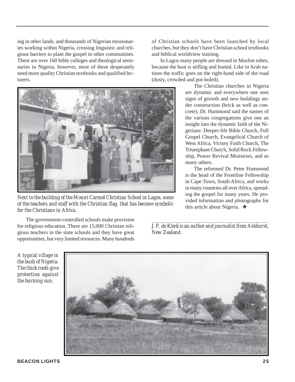ing in other lands, and thousands of Nigerian missionaries working within Nigeria, crossing linguistic and religious barriers to plant the gospel in other communities. There are over 160 bible colleges and theological seminaries in Nigeria, however, most of these desperately need more quality Christian textbooks and qualified lecturers.



*Next to the building of the Mount Carmel Christian School in Lagos, some of the teachers and staff with the Christian flag, that has become symbolic for the Christians in Africa.*

of Christian schools have been launched by local churches, but they don't have Christian school textbooks and biblical worldview training.

In Lagos many people are dressed in Muslim robes, because the heat is stifling and humid. Like in Arab nations the traffic goes on the right-hand side of the road (dusty, crowded and pot-holed).

> The Christian churches in Nigeria are dynamic and everywhere one sees signs of growth and new buildings under construction (brick as well as concrete). Dr. Hammond said the names of the various congregations give one an insight into the dynamic faith of the Nigerians: Deeper-life Bible Church, Full Gospel Church, Evangelical Church of West Africa, Victory Faith Church, The Triumphant Church, Solid Rock Fellowship, Power Revival Ministries, and so many others.

> The reformed Dr. Peter Hammond is the head of the Frontline Fellowship in Cape Town, South Africa, and works in many countries all over Africa, spreading the gospel for many years. He provided information and photographs for this article about Nigeria. ❖

The government-controlled schools make provision for religious education. There are 15,000 Christian religious teachers in the state schools and they have great opportunities, but very limited resources. Many hundreds

*\_\_\_\_\_\_\_\_\_\_\_\_\_\_\_\_\_\_\_\_\_\_\_\_\_\_\_\_\_\_\_\_\_\_\_\_\_\_\_\_\_\_\_\_\_\_ J. P. de Klerk is an author and journalist from Ashhurst, New Zealand.*

*A typical village in the bush of Nigeria. The thick roofs give protection against the burning sun.*

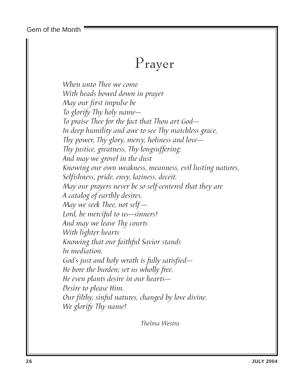Gem of the Month

### Prayer

When unto Thee we come With heads bowed down in prayer May our first impulse be To glorify Thy holy name— To praise Thee for the fact that Thou art God— In deep humility and awe to see Thy matchless grace, Thy power, Thy glory, mercy, holiness and love— Thy justice, greatness, Thy longsuffering; And may we grovel in the dust Knowing our own weakness, meanness, evil lusting natures, Selfishness, pride, envy, laziness, deceit. May our prayers never be so self-centered that they are A catalog of earthly desires. May we seek Thee, not self  $-$ Lord, be merciful to us—sinners! And may we leave Thy courts With lighter hearts Knowing that our faithful Savior stands In mediation. God's just and holy wrath is fully satisfied— He bore the burden; set us wholly free. He even plants desire in our hearts— Desire to please Him. Our filthy, sinful natures, changed by love divine. We glorify Thy name!

Thelma Westra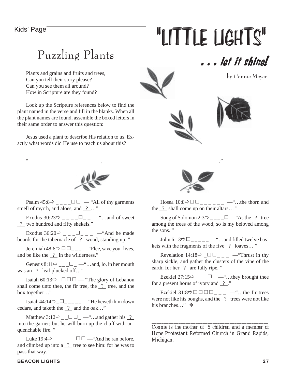# Kids' Page **"LITTLE LIGHTS"**

### Puzzling Plants

Plants and grains and fruits and trees, Can you tell their story please? Can you see them all around? How in Scripture are they found?

Look up the Scripture references below to find the plant named in the verse and fill in the blanks. When all the plant names are found, assemble the boxed letters in their same order to answer this question:

Jesus used a plant to describe His relation to us. Exactly what words did He use to teach us about this?





"\_\_ \_\_ \_\_ \_\_ \_\_ \_\_ \_\_ \_\_ \_\_ \_\_, \_\_ \_\_ \_\_ \_\_ \_\_ \_\_ \_\_ \_\_ \_\_ \_\_ \_\_ \_\_ \_\_ \_\_ \_\_ \_\_."

Psalm 45:8 \_ \_ \_ \_ — "All of thy garments smell of myrrh, and aloes, and  $\frac{?}{?}$ ...."

Exodus  $30:23 \Rightarrow$  \_ \_ \_ \_ \_ \_ \_ \_ \_ ... and of sweet ? two hundred and fifty shekels."

Exodus  $36:20 \Rightarrow$  \_ \_ \_ \_ \_ \_ \_ \_ \_ \_ ^ And he made boards for the tabernacle of  $\frac{?}{?}$  wood, standing up."

Jeremiah 48:6 \_ \_ \_ —"Flee, save your lives, and be like the  $\frac{?}{?}$  in the wilderness."

Genesis 8:11 $\overline{\varphi}_{\text{max}}$   $\overline{\Box}$   $\overline{\Box}$   $\overline{\Box}$   $\overline{\Box}$   $\overline{\Box}$   $\overline{\Box}$   $\overline{\Box}$   $\overline{\Box}$   $\overline{\Box}$   $\overline{\Box}$   $\overline{\Box}$   $\overline{\Box}$   $\overline{\Box}$   $\overline{\Box}$   $\overline{\Box}$   $\overline{\Box}$   $\overline{\Box}$   $\overline{\Box}$   $\overline{\Box}$   $\overline{\Box}$   $\overline{\Box}$   $\overline{\$ was an  $\frac{?}{?}$  leaf plucked off..."

Isaiah 60:13 $\Rightarrow$   $\Box$   $\Box$   $\Box$   $\Rightarrow$  "The glory of Lebanon" shall come unto thee, the fir tree, the  $\frac{2}{1}$  tree, and the box together..."

Isaiah 44:14 \_\_ \_ \_ \_ \_ —"He heweth him down cedars, and taketh the  $\frac{?}{.}$  and the oak..."

Matthew 3:12 \_ \_\_ —"…and gather his ? into the garner; but he will burn up the chaff with unquenchable fire. "

Luke  $19:4 \Rightarrow$  \_\_\_\_\_\_ $\Box$   $\Box$  — "And he ran before, and climbed up into a  $\frac{?}{}$  tree to see him: for he was to pass that way. "



Hosea  $10:8 \Rightarrow \Box \Box$  \_ \_ \_ \_ \_ \_ \_ ... the thorn and the ? shall come up on their altars… "

Song of Solomon 2:3  $\rightarrow$  \_\_\_\_  $\Box$  —"As the <u>?</u> tree among the trees of the wood, so is my beloved among the sons. "

John 6:13 $\Rightarrow$   $\Box$  \_ \_ \_ \_ \_ \_ ... and filled twelve baskets with the fragments of the five  $\frac{?}{?}$  loaves..."

Revelation 14:18 \_\_ \_ \_ —"Thrust in thy sharp sickle, and gather the clusters of the vine of the earth; for her  $\frac{?}{?}$  are fully ripe. "

Ezekiel 27:15 $\Rightarrow$  \_ \_ \_  $\Box$  \_  $\Rightarrow$  ... they brought thee for a present horns of ivory and  $\frac{?}{?}$ ."

Ezekiel 31:8\_ \_ \_ —"…the fir trees were not like his boughs, and the  $\frac{?}{?}$  trees were not like his branches…" ❖

*Connie is the mother of 5 children and a member of Hope Protestant Reformed Church in Grand Rapids, Michigan.*

*\_\_\_\_\_\_\_\_\_\_\_\_\_\_\_\_\_\_\_\_\_\_\_\_\_\_\_\_\_\_\_\_\_\_\_\_\_\_\_\_\_\_\_\_\_\_\_\_*